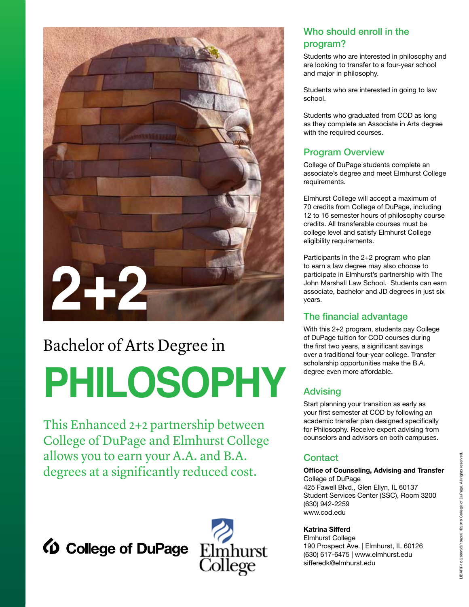

## Bachelor of Arts Degree in

# **PHILOSOPHY**

This Enhanced 2+2 partnership between College of DuPage and Elmhurst College allows you to earn your A.A. and B.A. degrees at a significantly reduced cost.





### Who should enroll in the program?

Students who are interested in philosophy and are looking to transfer to a four-year school and major in philosophy.

Students who are interested in going to law school.

Students who graduated from COD as long as they complete an Associate in Arts degree with the required courses.

#### Program Overview

College of DuPage students complete an associate's degree and meet Elmhurst College requirements.

Elmhurst College will accept a maximum of 70 credits from College of DuPage, including 12 to 16 semester hours of philosophy course credits. All transferable courses must be college level and satisfy Elmhurst College eligibility requirements.

Participants in the 2+2 program who plan to earn a law degree may also choose to participate in Elmhurst's partnership with The John Marshall Law School. Students can earn associate, bachelor and JD degrees in just six years.

#### The financial advantage

With this 2+2 program, students pay College of DuPage tuition for COD courses during the first two years, a significant savings over a traditional four-year college. Transfer scholarship opportunities make the B.A. degree even more affordable.

### Advising

Start planning your transition as early as your first semester at COD by following an academic transfer plan designed specifically for Philosophy. Receive expert advising from counselors and advisors on both campuses.

#### **Contact**

**Office of Counseling, Advising and Transfer** College of DuPage 425 Fawell Blvd., Glen Ellyn, IL 60137 Student Services Center (SSC), Room 3200 (630) 942-2259 www.cod.edu

#### **Katrina Sifferd**

Elmhurst College 190 Prospect Ave. | Elmhurst, IL 60126 (630) 617-6475 | www.elmhurst.edu sifferedk@elmhurst.edu